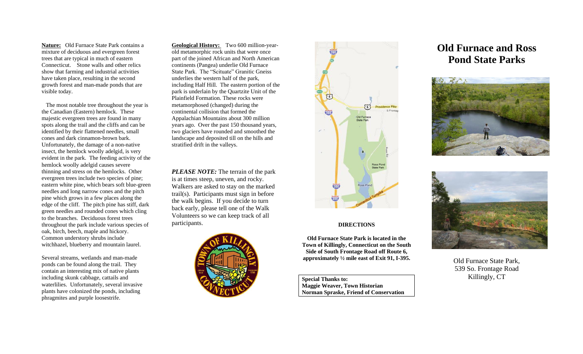**Nature:** Old Furnace State Park contains a mixture of deciduous and evergreen forest trees that are typical in much of eastern Connecticut. Stone walls and other relics show that farming and industrial activities have taken place, resulting in the second growth forest and man-made ponds that are visible today.

 The most notable tree throughout the year is the Canadian (Eastern) hemlock. These majestic evergreen trees are found in many spots along the trail and the cliffs and can be identified by their flattened needles, small cones and dark cinnamon-brown bark. Unfortunately, the damage of a non-native insect, the hemlock woolly adelgid, is very evident in the park. The feeding activity of the hemlock woolly adelgid causes severe thinning and stress on the hemlocks. Other evergreen trees include two species of pine; eastern white pine, which bears soft blue-green needles and long narrow cones and the pitch pine which grows in a few places along the edge of the cliff. The pitch pine has stiff, dark green needles and rounded cones which cling to the branches. Deciduous forest trees throughout the park include various species of oak, birch, beech, maple and hickory. Common understory shrubs include witchhazel, blueberry and mountain laurel.

Several streams, wetlands and man-made ponds can be found along the trail. They contain an interesting mix of native plants including skunk cabbage, cattails and waterlilies. Unfortunately, several invasive plants have colonized the ponds, including phragmites and purple loosestrife.

**Geological History:** Two 600 million-yearold metamorphic rock units that were once part of the joined African and North American continents (Pangea) underlie Old Furnace State Park. The "Scituate" Granitic Gneiss underlies the western half of the park, including Half Hill. The eastern portion of the park is underlain by the Quartzite Unit of the Plainfield Formation. These rocks were metamorphosed (changed) during the continental collision that formed the Appalachian Mountains about 300 million years ago. Over the past 150 thousand years, two glaciers have rounded and smoothed the landscape and deposited till on the hills and stratified drift in the valleys.

*PLEASE NOTE:* The terrain of the park is at times steep, uneven, and rocky. Walkers are asked to stay on the marked trail(s). Participants must sign in before the walk begins. If you decide to turn back early, please tell one of the Walk Volunteers so we can keep track of all participants. **DIRECTIONS** 





**Old Furnace State Park is located in the Town of Killingly, Connecticut on the South Side of South Frontage Road off Route 6, approximately ½ mile east of Exit 91, I-395.** 

**Special Thanks to: Maggie Weaver, Town Historian Norman Spraske, Friend of Conservation**

# **Old Furnace and Ross Pond State Parks**





Old Furnace State Park, 539 So. Frontage Road Killingly, CT